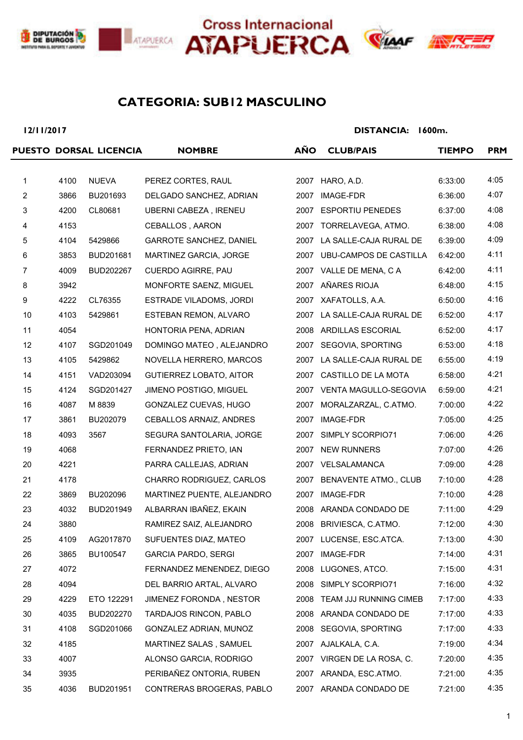







### **SUB12 MASCULINO CATEGORIA:**

**12/11/2017**

|                |      | PUESTO DORSAL LICENCIA | <b>NOMBRE</b>                  | <b>AÑO</b> | <b>CLUB/PAIS</b>            | <b>TIEMPO</b> | <b>PRM</b> |
|----------------|------|------------------------|--------------------------------|------------|-----------------------------|---------------|------------|
|                |      |                        |                                |            |                             |               |            |
| $\mathbf{1}$   | 4100 | <b>NUEVA</b>           | PEREZ CORTES, RAUL             |            | 2007 HARO, A.D.             | 6:33:00       | 4:05       |
| $\overline{c}$ | 3866 | BU201693               | DELGADO SANCHEZ, ADRIAN        | 2007       | IMAGE-FDR                   | 6:36:00       | 4:07       |
| 3              | 4200 | CL80681                | UBERNI CABEZA, IRENEU          | 2007       | <b>ESPORTIU PENEDES</b>     | 6:37:00       | 4:08       |
| 4              | 4153 |                        | CEBALLOS, AARON                | 2007       | TORRELAVEGA, ATMO.          | 6:38:00       | 4:08       |
| 5              | 4104 | 5429866                | <b>GARROTE SANCHEZ, DANIEL</b> |            | 2007 LA SALLE-CAJA RURAL DE | 6:39:00       | 4:09       |
| 6              | 3853 | BUD201681              | MARTINEZ GARCIA, JORGE         |            | 2007 UBU-CAMPOS DE CASTILLA | 6:42:00       | 4:11       |
| 7              | 4009 | BUD202267              | CUERDO AGIRRE, PAU             |            | 2007 VALLE DE MENA, C A     | 6:42:00       | 4:11       |
| 8              | 3942 |                        | MONFORTE SAENZ, MIGUEL         |            | 2007 AÑARES RIOJA           | 6:48:00       | 4:15       |
| 9              | 4222 | CL76355                | ESTRADE VILADOMS, JORDI        |            | 2007 XAFATOLLS, A.A.        | 6:50:00       | 4:16       |
| 10             | 4103 | 5429861                | ESTEBAN REMON, ALVARO          | 2007       | LA SALLE-CAJA RURAL DE      | 6:52:00       | 4:17       |
| 11             | 4054 |                        | HONTORIA PENA, ADRIAN          |            | 2008 ARDILLAS ESCORIAL      | 6:52:00       | 4:17       |
| 12             | 4107 | SGD201049              | DOMINGO MATEO, ALEJANDRO       |            | 2007 SEGOVIA, SPORTING      | 6:53:00       | 4:18       |
| 13             | 4105 | 5429862                | NOVELLA HERRERO, MARCOS        |            | 2007 LA SALLE-CAJA RURAL DE | 6:55:00       | 4:19       |
| 14             | 4151 | VAD203094              | GUTIERREZ LOBATO, AITOR        | 2007       | CASTILLO DE LA MOTA         | 6:58:00       | 4:21       |
| 15             | 4124 | SGD201427              | JIMENO POSTIGO, MIGUEL         |            | 2007 VENTA MAGULLO-SEGOVIA  | 6:59:00       | 4:21       |
| 16             | 4087 | M 8839                 | GONZALEZ CUEVAS, HUGO          | 2007       | MORALZARZAL, C.ATMO.        | 7:00:00       | 4:22       |
| 17             | 3861 | BU202079               | CEBALLOS ARNAIZ, ANDRES        | 2007       | IMAGE-FDR                   | 7:05:00       | 4:25       |
| 18             | 4093 | 3567                   | SEGURA SANTOLARIA, JORGE       | 2007       | SIMPLY SCORPIO71            | 7:06:00       | 4:26       |
| 19             | 4068 |                        | FERNANDEZ PRIETO, IAN          |            | 2007 NEW RUNNERS            | 7:07:00       | 4:26       |
| 20             | 4221 |                        | PARRA CALLEJAS, ADRIAN         |            | 2007 VELSALAMANCA           | 7:09:00       | 4:28       |
| 21             | 4178 |                        | CHARRO RODRIGUEZ, CARLOS       |            | 2007 BENAVENTE ATMO., CLUB  | 7:10:00       | 4:28       |
| 22             | 3869 | BU202096               | MARTINEZ PUENTE, ALEJANDRO     | 2007       | IMAGE-FDR                   | 7:10:00       | 4:28       |
| 23             | 4032 | BUD201949              | ALBARRAN IBAÑEZ, EKAIN         |            | 2008 ARANDA CONDADO DE      | 7:11:00       | 4:29       |
| 24             | 3880 |                        | RAMIREZ SAIZ, ALEJANDRO        |            | 2008 BRIVIESCA, C.ATMO.     | 7:12:00       | 4:30       |
| 25             | 4109 | AG2017870              | SUFUENTES DIAZ, MATEO          |            | 2007 LUCENSE, ESC.ATCA.     | 7:13:00       | 4:30       |
| 26             | 3865 | BU100547               | <b>GARCIA PARDO, SERGI</b>     | 2007       | IMAGE-FDR                   | 7:14:00       | 4:31       |
| 27             | 4072 |                        | FERNANDEZ MENENDEZ, DIEGO      |            | 2008 LUGONES, ATCO.         | 7:15:00       | 4:31       |
| 28             | 4094 |                        | DEL BARRIO ARTAL, ALVARO       |            | 2008 SIMPLY SCORPIO71       | 7:16:00       | 4:32       |
| 29             | 4229 | ETO 122291             | JIMENEZ FORONDA, NESTOR        | 2008       | TEAM JJJ RUNNING CIMEB      | 7:17:00       | 4:33       |
| 30             | 4035 | BUD202270              | TARDAJOS RINCON, PABLO         |            | 2008 ARANDA CONDADO DE      | 7:17:00       | 4:33       |
| 31             | 4108 | SGD201066              | GONZALEZ ADRIAN, MUNOZ         |            | 2008 SEGOVIA, SPORTING      | 7:17:00       | 4:33       |
| 32             | 4185 |                        | MARTINEZ SALAS, SAMUEL         |            | 2007 AJALKALA, C.A.         | 7:19:00       | 4:34       |
| 33             | 4007 |                        | ALONSO GARCIA, RODRIGO         |            | 2007 VIRGEN DE LA ROSA, C.  | 7:20:00       | 4:35       |
| 34             | 3935 |                        | PERIBAÑEZ ONTORIA, RUBEN       |            | 2007 ARANDA, ESC.ATMO.      | 7:21:00       | 4:35       |
| 35             | 4036 | BUD201951              | CONTRERAS BROGERAS, PABLO      |            | 2007 ARANDA CONDADO DE      | 7:21:00       | 4:35       |
|                |      |                        |                                |            |                             |               |            |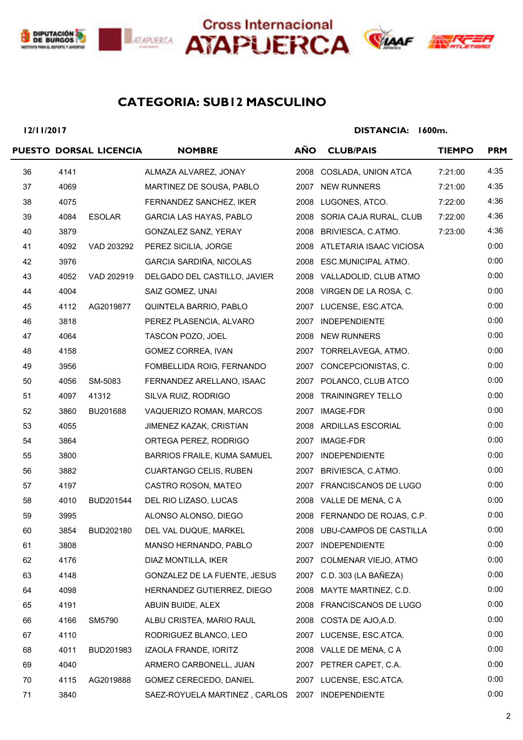







## **SUB12 MASCULINO CATEGORIA:**

#### **12/11/2017**

|    |      | PUESTO DORSAL LICENCIA | <b>NOMBRE</b>                  | <b>AÑO</b> | <b>CLUB/PAIS</b>             | <b>TIEMPO</b> | <b>PRM</b> |
|----|------|------------------------|--------------------------------|------------|------------------------------|---------------|------------|
| 36 | 4141 |                        | ALMAZA ALVAREZ, JONAY          | 2008       | COSLADA, UNION ATCA          | 7:21:00       | 4:35       |
| 37 | 4069 |                        | MARTINEZ DE SOUSA, PABLO       |            | 2007 NEW RUNNERS             | 7:21:00       | 4:35       |
| 38 | 4075 |                        | FERNANDEZ SANCHEZ, IKER        |            | 2008 LUGONES, ATCO.          | 7:22:00       | 4:36       |
| 39 | 4084 | <b>ESOLAR</b>          | <b>GARCIA LAS HAYAS, PABLO</b> |            | 2008 SORIA CAJA RURAL, CLUB  | 7:22:00       | 4:36       |
| 40 | 3879 |                        | GONZALEZ SANZ, YERAY           |            | 2008 BRIVIESCA, C.ATMO.      | 7:23:00       | 4:36       |
| 41 | 4092 | VAD 203292             | PEREZ SICILIA, JORGE           |            | 2008 ATLETARIA ISAAC VICIOSA |               | 0:00       |
| 42 | 3976 |                        | GARCIA SARDIÑA, NICOLAS        |            | 2008 ESC.MUNICIPAL ATMO.     |               | 0:00       |
| 43 | 4052 | VAD 202919             | DELGADO DEL CASTILLO, JAVIER   |            | 2008 VALLADOLID, CLUB ATMO   |               | 0:00       |
| 44 | 4004 |                        | SAIZ GOMEZ, UNAI               |            | 2008 VIRGEN DE LA ROSA, C.   |               | 0:00       |
| 45 | 4112 | AG2019877              | QUINTELA BARRIO, PABLO         |            | 2007 LUCENSE, ESC.ATCA.      |               | 0:00       |
| 46 | 3818 |                        | PEREZ PLASENCIA, ALVARO        |            | 2007 INDEPENDIENTE           |               | 0:00       |
| 47 | 4064 |                        | TASCON POZO, JOEL              |            | 2008 NEW RUNNERS             |               | 0:00       |
| 48 | 4158 |                        | <b>GOMEZ CORREA, IVAN</b>      |            | 2007 TORRELAVEGA, ATMO.      |               | 0:00       |
| 49 | 3956 |                        | FOMBELLIDA ROIG, FERNANDO      |            | 2007 CONCEPCIONISTAS, C.     |               | 0:00       |
| 50 | 4056 | SM-5083                | FERNANDEZ ARELLANO, ISAAC      |            | 2007 POLANCO, CLUB ATCO      |               | 0:00       |
| 51 | 4097 | 41312                  | SILVA RUIZ, RODRIGO            |            | 2008 TRAININGREY TELLO       |               | 0:00       |
| 52 | 3860 | BU201688               | VAQUERIZO ROMAN, MARCOS        |            | 2007 IMAGE-FDR               |               | 0:00       |
| 53 | 4055 |                        | JIMENEZ KAZAK, CRISTIAN        |            | 2008 ARDILLAS ESCORIAL       |               | 0:00       |
| 54 | 3864 |                        | ORTEGA PEREZ, RODRIGO          |            | 2007 IMAGE-FDR               |               | 0:00       |
| 55 | 3800 |                        | BARRIOS FRAILE, KUMA SAMUEL    |            | 2007 INDEPENDIENTE           |               | 0:00       |
| 56 | 3882 |                        | <b>CUARTANGO CELIS, RUBEN</b>  |            | 2007 BRIVIESCA, C.ATMO.      |               | 0:00       |
| 57 | 4197 |                        | CASTRO ROSON, MATEO            |            | 2007 FRANCISCANOS DE LUGO    |               | 0:00       |
| 58 | 4010 | BUD201544              | DEL RIO LIZASO, LUCAS          |            | 2008 VALLE DE MENA, C A      |               | 0:00       |
| 59 | 3995 |                        | ALONSO ALONSO, DIEGO           |            | 2008 FERNANDO DE ROJAS, C.P. |               | 0:00       |
| 60 | 3854 | BUD202180              | DEL VAL DUQUE, MARKEL          |            | 2008 UBU-CAMPOS DE CASTILLA  |               | 0:00       |
| 61 | 3808 |                        | MANSO HERNANDO, PABLO          |            | 2007 INDEPENDIENTE           |               | 0:00       |
| 62 | 4176 |                        | DIAZ MONTILLA, IKER            |            | 2007 COLMENAR VIEJO, ATMO    |               | 0:00       |
| 63 | 4148 |                        | GONZALEZ DE LA FUENTE, JESUS   |            | 2007 C.D. 303 (LA BAÑEZA)    |               | 0:00       |
| 64 | 4098 |                        | HERNANDEZ GUTIERREZ, DIEGO     |            | 2008 MAYTE MARTINEZ, C.D.    |               | 0:00       |
| 65 | 4191 |                        | ABUIN BUIDE, ALEX              |            | 2008 FRANCISCANOS DE LUGO    |               | 0:00       |
| 66 | 4166 | SM5790                 | ALBU CRISTEA, MARIO RAUL       |            | 2008 COSTA DE AJO, A.D.      |               | 0:00       |
| 67 | 4110 |                        | RODRIGUEZ BLANCO, LEO          |            | 2007 LUCENSE, ESC.ATCA.      |               | 0:00       |
| 68 | 4011 | BUD201983              | IZAOLA FRANDE, IORITZ          |            | 2008 VALLE DE MENA, C A      |               | 0:00       |
| 69 | 4040 |                        | ARMERO CARBONELL, JUAN         |            | 2007 PETRER CAPET, C.A.      |               | 0:00       |
| 70 | 4115 | AG2019888              | GOMEZ CERECEDO, DANIEL         |            | 2007 LUCENSE, ESC.ATCA.      |               | 0:00       |
| 71 | 3840 |                        | SAEZ-ROYUELA MARTINEZ, CARLOS  |            | 2007 INDEPENDIENTE           |               | 0:00       |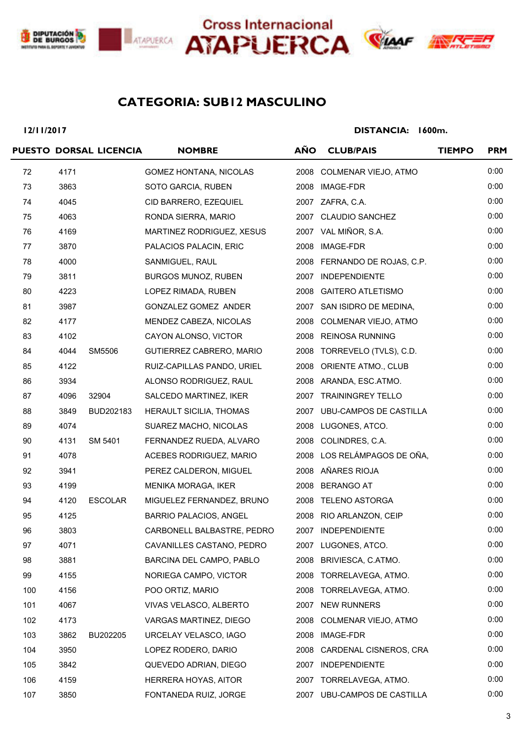





# **ANX**

# **SUB12 MASCULINO CATEGORIA:**

**12/11/2017**

|     |      | PUESTO DORSAL LICENCIA | <b>NOMBRE</b>              | <b>AÑO</b> | <b>CLUB/PAIS</b>             | <b>TIEMPO</b> | <b>PRM</b> |
|-----|------|------------------------|----------------------------|------------|------------------------------|---------------|------------|
| 72  | 4171 |                        | GOMEZ HONTANA, NICOLAS     |            | 2008 COLMENAR VIEJO, ATMO    |               | 0:00       |
| 73  | 3863 |                        | SOTO GARCIA, RUBEN         |            | 2008 IMAGE-FDR               |               | 0:00       |
| 74  | 4045 |                        | CID BARRERO, EZEQUIEL      |            | 2007 ZAFRA, C.A.             |               | 0:00       |
| 75  | 4063 |                        | RONDA SIERRA, MARIO        |            | 2007 CLAUDIO SANCHEZ         |               | 0:00       |
| 76  | 4169 |                        | MARTINEZ RODRIGUEZ, XESUS  |            | 2007 VAL MIÑOR, S.A.         |               | 0:00       |
| 77  | 3870 |                        | PALACIOS PALACIN, ERIC     | 2008       | IMAGE-FDR                    |               | 0:00       |
| 78  | 4000 |                        | SANMIGUEL, RAUL            |            | 2008 FERNANDO DE ROJAS, C.P. |               | 0:00       |
| 79  | 3811 |                        | <b>BURGOS MUNOZ, RUBEN</b> |            | 2007 INDEPENDIENTE           |               | 0:00       |
| 80  | 4223 |                        | LOPEZ RIMADA, RUBEN        |            | 2008 GAITERO ATLETISMO       |               | 0:00       |
| 81  | 3987 |                        | GONZALEZ GOMEZ ANDER       |            | 2007 SAN ISIDRO DE MEDINA,   |               | 0:00       |
| 82  | 4177 |                        | MENDEZ CABEZA, NICOLAS     |            | 2008 COLMENAR VIEJO, ATMO    |               | 0:00       |
| 83  | 4102 |                        | CAYON ALONSO, VICTOR       |            | 2008 REINOSA RUNNING         |               | 0:00       |
| 84  | 4044 | SM5506                 | GUTIERREZ CABRERO, MARIO   |            | 2008 TORREVELO (TVLS), C.D.  |               | 0:00       |
| 85  | 4122 |                        | RUIZ-CAPILLAS PANDO, URIEL |            | 2008 ORIENTE ATMO., CLUB     |               | 0:00       |
| 86  | 3934 |                        | ALONSO RODRIGUEZ, RAUL     |            | 2008 ARANDA, ESC.ATMO.       |               | 0:00       |
| 87  | 4096 | 32904                  | SALCEDO MARTINEZ, IKER     |            | 2007 TRAININGREY TELLO       |               | 0:00       |
| 88  | 3849 | BUD202183              | HERAULT SICILIA, THOMAS    |            | 2007 UBU-CAMPOS DE CASTILLA  |               | 0:00       |
| 89  | 4074 |                        | SUAREZ MACHO, NICOLAS      |            | 2008 LUGONES, ATCO.          |               | 0:00       |
| 90  | 4131 | SM 5401                | FERNANDEZ RUEDA, ALVARO    |            | 2008 COLINDRES, C.A.         |               | 0:00       |
| 91  | 4078 |                        | ACEBES RODRIGUEZ, MARIO    |            | 2008 LOS RELÁMPAGOS DE OÑA,  |               | 0:00       |
| 92  | 3941 |                        | PEREZ CALDERON, MIGUEL     |            | 2008 AÑARES RIOJA            |               | 0:00       |
| 93  | 4199 |                        | MENIKA MORAGA, IKER        |            | 2008 BERANGO AT              |               | 0:00       |
| 94  | 4120 | <b>ESCOLAR</b>         | MIGUELEZ FERNANDEZ, BRUNO  |            | 2008 TELENO ASTORGA          |               | 0:00       |
| 95  | 4125 |                        | BARRIO PALACIOS, ANGEL     |            | 2008 RIO ARLANZON, CEIP      |               | 0:00       |
| 96  | 3803 |                        | CARBONELL BALBASTRE, PEDRO |            | 2007 INDEPENDIENTE           |               | 0:00       |
| 97  | 4071 |                        | CAVANILLES CASTANO, PEDRO  |            | 2007 LUGONES, ATCO.          |               | 0:00       |
| 98  | 3881 |                        | BARCINA DEL CAMPO, PABLO   | 2008       | BRIVIESCA, C.ATMO.           |               | 0:00       |
| 99  | 4155 |                        | NORIEGA CAMPO, VICTOR      | 2008       | TORRELAVEGA, ATMO.           |               | 0:00       |
| 100 | 4156 |                        | POO ORTIZ, MARIO           |            | 2008 TORRELAVEGA, ATMO.      |               | 0:00       |
| 101 | 4067 |                        | VIVAS VELASCO, ALBERTO     |            | 2007 NEW RUNNERS             |               | 0:00       |
| 102 | 4173 |                        | VARGAS MARTINEZ, DIEGO     | 2008       | COLMENAR VIEJO, ATMO         |               | 0:00       |
| 103 | 3862 | BU202205               | URCELAY VELASCO, IAGO      | 2008       | IMAGE-FDR                    |               | 0:00       |
| 104 | 3950 |                        | LOPEZ RODERO, DARIO        | 2008       | CARDENAL CISNEROS, CRA       |               | 0:00       |
| 105 | 3842 |                        | QUEVEDO ADRIAN, DIEGO      | 2007       | <b>INDEPENDIENTE</b>         |               | 0:00       |
| 106 | 4159 |                        | HERRERA HOYAS, AITOR       |            | 2007 TORRELAVEGA, ATMO.      |               | 0:00       |
| 107 | 3850 |                        | FONTANEDA RUIZ, JORGE      |            | 2007 UBU-CAMPOS DE CASTILLA  |               | 0:00       |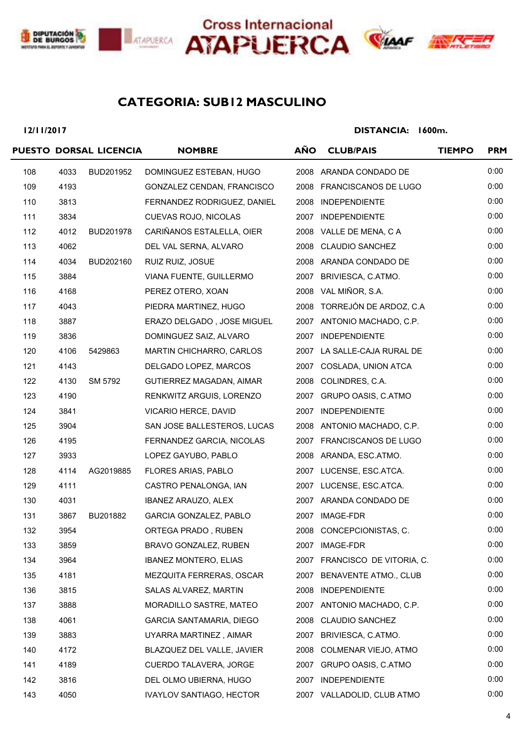





# **SUB12 MASCULINO CATEGORIA:**

**12/11/2017**

|     |      | PUESTO DORSAL LICENCIA | <b>NOMBRE</b>                   | <b>AÑO</b> | <b>CLUB/PAIS</b>              | <b>TIEMPO</b> | <b>PRM</b> |
|-----|------|------------------------|---------------------------------|------------|-------------------------------|---------------|------------|
| 108 | 4033 | BUD201952              | DOMINGUEZ ESTEBAN, HUGO         |            | 2008 ARANDA CONDADO DE        |               | 0:00       |
| 109 | 4193 |                        | GONZALEZ CENDAN, FRANCISCO      |            | 2008 FRANCISCANOS DE LUGO     |               | 0:00       |
| 110 | 3813 |                        | FERNANDEZ RODRIGUEZ, DANIEL     |            | 2008 INDEPENDIENTE            |               | 0:00       |
| 111 | 3834 |                        | CUEVAS ROJO, NICOLAS            |            | 2007 INDEPENDIENTE            |               | 0:00       |
| 112 | 4012 | BUD201978              | CARIÑANOS ESTALELLA, OIER       |            | 2008 VALLE DE MENA, C A       |               | 0:00       |
| 113 | 4062 |                        | DEL VAL SERNA, ALVARO           |            | 2008 CLAUDIO SANCHEZ          |               | 0:00       |
| 114 | 4034 | BUD202160              | RUIZ RUIZ, JOSUE                |            | 2008 ARANDA CONDADO DE        |               | 0:00       |
| 115 | 3884 |                        | VIANA FUENTE, GUILLERMO         |            | 2007 BRIVIESCA, C.ATMO.       |               | 0:00       |
| 116 | 4168 |                        | PEREZ OTERO, XOAN               |            | 2008 VAL MIÑOR, S.A.          |               | 0:00       |
| 117 | 4043 |                        | PIEDRA MARTINEZ, HUGO           |            | 2008 TORREJÓN DE ARDOZ, C.A   |               | 0:00       |
| 118 | 3887 |                        | ERAZO DELGADO, JOSE MIGUEL      |            | 2007 ANTONIO MACHADO, C.P.    |               | 0:00       |
| 119 | 3836 |                        | DOMINGUEZ SAIZ, ALVARO          |            | 2007 INDEPENDIENTE            |               | 0:00       |
| 120 | 4106 | 5429863                | MARTIN CHICHARRO, CARLOS        |            | 2007 LA SALLE-CAJA RURAL DE   |               | 0:00       |
| 121 | 4143 |                        | DELGADO LOPEZ, MARCOS           |            | 2007 COSLADA, UNION ATCA      |               | 0:00       |
| 122 | 4130 | SM 5792                | GUTIERREZ MAGADAN, AIMAR        |            | 2008 COLINDRES, C.A.          |               | 0:00       |
| 123 | 4190 |                        | RENKWITZ ARGUIS, LORENZO        |            | 2007 GRUPO OASIS, C.ATMO      |               | 0:00       |
| 124 | 3841 |                        | VICARIO HERCE, DAVID            |            | 2007 INDEPENDIENTE            |               | 0:00       |
| 125 | 3904 |                        | SAN JOSE BALLESTEROS, LUCAS     |            | 2008 ANTONIO MACHADO, C.P.    |               | 0:00       |
| 126 | 4195 |                        | FERNANDEZ GARCIA, NICOLAS       |            | 2007 FRANCISCANOS DE LUGO     |               | 0:00       |
| 127 | 3933 |                        | LOPEZ GAYUBO, PABLO             |            | 2008 ARANDA, ESC.ATMO.        |               | 0:00       |
| 128 | 4114 | AG2019885              | FLORES ARIAS, PABLO             |            | 2007 LUCENSE, ESC.ATCA.       |               | 0:00       |
| 129 | 4111 |                        | CASTRO PENALONGA, IAN           |            | 2007 LUCENSE, ESC.ATCA.       |               | 0:00       |
| 130 | 4031 |                        | <b>IBANEZ ARAUZO, ALEX</b>      |            | 2007 ARANDA CONDADO DE        |               | 0:00       |
| 131 | 3867 | BU201882               | GARCIA GONZALEZ, PABLO          |            | 2007 IMAGE-FDR                |               | 0:00       |
| 132 | 3954 |                        | ORTEGA PRADO, RUBEN             | 2008       | CONCEPCIONISTAS, C.           |               | 0:00       |
| 133 | 3859 |                        | BRAVO GONZALEZ, RUBEN           | 2007       | IMAGE-FDR                     |               | 0:00       |
| 134 | 3964 |                        | <b>IBANEZ MONTERO, ELIAS</b>    |            | 2007 FRANCISCO DE VITORIA, C. |               | 0:00       |
| 135 | 4181 |                        | MEZQUITA FERRERAS, OSCAR        | 2007       | BENAVENTE ATMO., CLUB         |               | 0:00       |
| 136 | 3815 |                        | SALAS ALVAREZ, MARTIN           | 2008       | <b>INDEPENDIENTE</b>          |               | 0:00       |
| 137 | 3888 |                        | MORADILLO SASTRE, MATEO         |            | 2007 ANTONIO MACHADO, C.P.    |               | 0:00       |
| 138 | 4061 |                        | GARCIA SANTAMARIA, DIEGO        | 2008       | <b>CLAUDIO SANCHEZ</b>        |               | 0:00       |
| 139 | 3883 |                        | UYARRA MARTINEZ, AIMAR          | 2007       | BRIVIESCA, C.ATMO.            |               | 0:00       |
| 140 | 4172 |                        | BLAZQUEZ DEL VALLE, JAVIER      | 2008       | COLMENAR VIEJO, ATMO          |               | 0:00       |
| 141 | 4189 |                        | CUERDO TALAVERA, JORGE          | 2007       | GRUPO OASIS, C.ATMO           |               | 0:00       |
| 142 | 3816 |                        | DEL OLMO UBIERNA, HUGO          | 2007       | <b>INDEPENDIENTE</b>          |               | 0:00       |
| 143 | 4050 |                        | <b>IVAYLOV SANTIAGO, HECTOR</b> |            | 2007 VALLADOLID, CLUB ATMO    |               | 0:00       |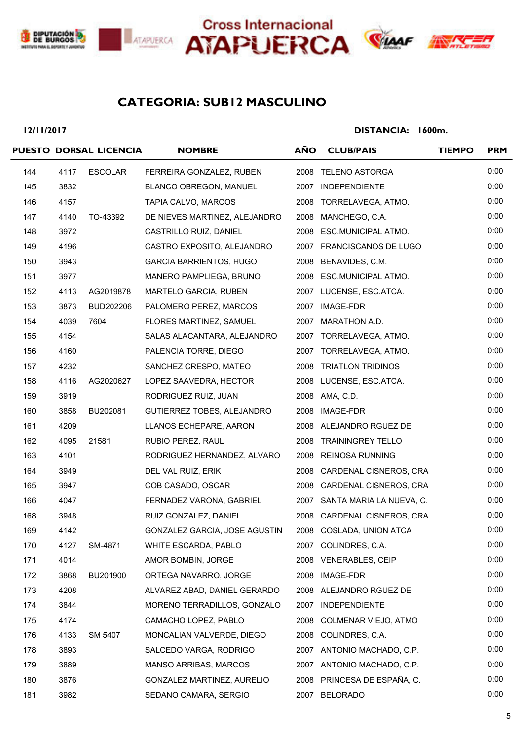





# **SUB12 MASCULINO CATEGORIA:**

**12/11/2017**

|     |      | PUESTO DORSAL LICENCIA | <b>NOMBRE</b>                  | <b>AÑO</b> | <b>CLUB/PAIS</b>              | <b>TIEMPO</b> | <b>PRM</b> |
|-----|------|------------------------|--------------------------------|------------|-------------------------------|---------------|------------|
| 144 | 4117 | <b>ESCOLAR</b>         | FERREIRA GONZALEZ, RUBEN       |            | 2008 TELENO ASTORGA           |               | 0:00       |
| 145 | 3832 |                        | BLANCO OBREGON, MANUEL         |            | 2007 INDEPENDIENTE            |               | 0:00       |
| 146 | 4157 |                        | TAPIA CALVO, MARCOS            |            | 2008 TORRELAVEGA, ATMO.       |               | 0:00       |
| 147 | 4140 | TO-43392               | DE NIEVES MARTINEZ, ALEJANDRO  | 2008       | MANCHEGO, C.A.                |               | 0:00       |
| 148 | 3972 |                        | CASTRILLO RUIZ, DANIEL         |            | 2008 ESC.MUNICIPAL ATMO.      |               | 0:00       |
| 149 | 4196 |                        | CASTRO EXPOSITO, ALEJANDRO     |            | 2007 FRANCISCANOS DE LUGO     |               | 0:00       |
| 150 | 3943 |                        | <b>GARCIA BARRIENTOS, HUGO</b> |            | 2008 BENAVIDES, C.M.          |               | 0:00       |
| 151 | 3977 |                        | MANERO PAMPLIEGA, BRUNO        |            | 2008 ESC.MUNICIPAL ATMO.      |               | 0:00       |
| 152 | 4113 | AG2019878              | MARTELO GARCIA, RUBEN          |            | 2007 LUCENSE, ESC.ATCA.       |               | 0:00       |
| 153 | 3873 | BUD202206              | PALOMERO PEREZ, MARCOS         |            | 2007 IMAGE-FDR                |               | 0:00       |
| 154 | 4039 | 7604                   | FLORES MARTINEZ, SAMUEL        | 2007       | MARATHON A.D.                 |               | 0:00       |
| 155 | 4154 |                        | SALAS ALACANTARA, ALEJANDRO    |            | 2007 TORRELAVEGA, ATMO.       |               | 0:00       |
| 156 | 4160 |                        | PALENCIA TORRE, DIEGO          |            | 2007 TORRELAVEGA, ATMO.       |               | 0:00       |
| 157 | 4232 |                        | SANCHEZ CRESPO, MATEO          |            | 2008 TRIATLON TRIDINOS        |               | 0:00       |
| 158 | 4116 | AG2020627              | LOPEZ SAAVEDRA, HECTOR         |            | 2008 LUCENSE, ESC.ATCA.       |               | 0:00       |
| 159 | 3919 |                        | RODRIGUEZ RUIZ, JUAN           |            | 2008 AMA, C.D.                |               | 0:00       |
| 160 | 3858 | BU202081               | GUTIERREZ TOBES, ALEJANDRO     |            | 2008 IMAGE-FDR                |               | 0:00       |
| 161 | 4209 |                        | LLANOS ECHEPARE, AARON         |            | 2008 ALEJANDRO RGUEZ DE       |               | 0:00       |
| 162 | 4095 | 21581                  | RUBIO PEREZ, RAUL              |            | 2008 TRAININGREY TELLO        |               | 0:00       |
| 163 | 4101 |                        | RODRIGUEZ HERNANDEZ, ALVARO    |            | 2008 REINOSA RUNNING          |               | 0:00       |
| 164 | 3949 |                        | DEL VAL RUIZ, ERIK             |            | 2008 CARDENAL CISNEROS, CRA   |               | 0:00       |
| 165 | 3947 |                        | COB CASADO, OSCAR              |            | 2008 CARDENAL CISNEROS, CRA   |               | 0:00       |
| 166 | 4047 |                        | FERNADEZ VARONA, GABRIEL       |            | 2007 SANTA MARIA LA NUEVA, C. |               | 0:00       |
| 168 | 3948 |                        | RUIZ GONZALEZ, DANIEL          |            | 2008 CARDENAL CISNEROS, CRA   |               | 0:00       |
| 169 | 4142 |                        | GONZALEZ GARCIA, JOSE AGUSTIN  |            | 2008 COSLADA, UNION ATCA      |               | 0:00       |
| 170 | 4127 | SM-4871                | WHITE ESCARDA, PABLO           |            | 2007 COLINDRES, C.A.          |               | 0:00       |
| 171 | 4014 |                        | AMOR BOMBIN, JORGE             |            | 2008 VENERABLES, CEIP         |               | 0:00       |
| 172 | 3868 | BU201900               | ORTEGA NAVARRO, JORGE          |            | 2008 IMAGE-FDR                |               | 0:00       |
| 173 | 4208 |                        | ALVAREZ ABAD, DANIEL GERARDO   | 2008       | ALEJANDRO RGUEZ DE            |               | 0:00       |
| 174 | 3844 |                        | MORENO TERRADILLOS, GONZALO    |            | 2007 INDEPENDIENTE            |               | 0:00       |
| 175 | 4174 |                        | CAMACHO LOPEZ, PABLO           | 2008       | COLMENAR VIEJO, ATMO          |               | 0:00       |
| 176 | 4133 | SM 5407                | MONCALIAN VALVERDE, DIEGO      |            | 2008 COLINDRES, C.A.          |               | 0:00       |
| 178 | 3893 |                        | SALCEDO VARGA, RODRIGO         |            | 2007 ANTONIO MACHADO, C.P.    |               | 0:00       |
| 179 | 3889 |                        | MANSO ARRIBAS, MARCOS          |            | 2007 ANTONIO MACHADO, C.P.    |               | 0:00       |
| 180 | 3876 |                        | GONZALEZ MARTINEZ, AURELIO     |            | 2008 PRINCESA DE ESPAÑA, C.   |               | 0:00       |
| 181 | 3982 |                        | SEDANO CAMARA, SERGIO          | 2007       | <b>BELORADO</b>               |               | 0:00       |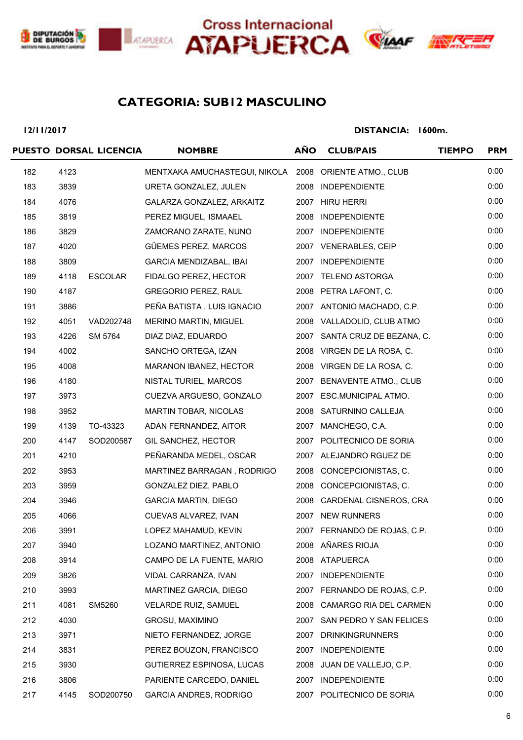





# **SUB12 MASCULINO CATEGORIA:**

**12/11/2017**

|     |      | PUESTO DORSAL LICENCIA | <b>NOMBRE</b>                                          | <b>AÑO</b> | <b>CLUB/PAIS</b>              | <b>TIEMPO</b> | <b>PRM</b> |
|-----|------|------------------------|--------------------------------------------------------|------------|-------------------------------|---------------|------------|
| 182 | 4123 |                        | MENTXAKA AMUCHASTEGUI, NIKOLA 2008 ORIENTE ATMO., CLUB |            |                               |               | 0:00       |
| 183 | 3839 |                        | URETA GONZALEZ, JULEN                                  | 2008       | <b>INDEPENDIENTE</b>          |               | 0:00       |
| 184 | 4076 |                        | GALARZA GONZALEZ, ARKAITZ                              |            | 2007 HIRU HERRI               |               | 0:00       |
| 185 | 3819 |                        | PEREZ MIGUEL, ISMAAEL                                  | 2008       | <b>INDEPENDIENTE</b>          |               | 0:00       |
| 186 | 3829 |                        | ZAMORANO ZARATE, NUNO                                  |            | 2007 INDEPENDIENTE            |               | 0:00       |
| 187 | 4020 |                        | GÜEMES PEREZ, MARCOS                                   |            | 2007 VENERABLES, CEIP         |               | 0:00       |
| 188 | 3809 |                        | <b>GARCIA MENDIZABAL, IBAI</b>                         |            | 2007 INDEPENDIENTE            |               | 0:00       |
| 189 | 4118 | <b>ESCOLAR</b>         | FIDALGO PEREZ, HECTOR                                  |            | 2007 TELENO ASTORGA           |               | 0:00       |
| 190 | 4187 |                        | <b>GREGORIO PEREZ, RAUL</b>                            |            | 2008 PETRA LAFONT, C.         |               | 0:00       |
| 191 | 3886 |                        | PEÑA BATISTA, LUIS IGNACIO                             |            | 2007 ANTONIO MACHADO, C.P.    |               | 0:00       |
| 192 | 4051 | VAD202748              | <b>MERINO MARTIN, MIGUEL</b>                           |            | 2008 VALLADOLID, CLUB ATMO    |               | 0:00       |
| 193 | 4226 | SM 5764                | DIAZ DIAZ, EDUARDO                                     |            | 2007 SANTA CRUZ DE BEZANA, C. |               | 0:00       |
| 194 | 4002 |                        | SANCHO ORTEGA, IZAN                                    |            | 2008 VIRGEN DE LA ROSA, C.    |               | 0:00       |
| 195 | 4008 |                        | MARANON IBANEZ, HECTOR                                 |            | 2008 VIRGEN DE LA ROSA, C.    |               | 0:00       |
| 196 | 4180 |                        | NISTAL TURIEL, MARCOS                                  |            | 2007 BENAVENTE ATMO., CLUB    |               | 0:00       |
| 197 | 3973 |                        | CUEZVA ARGUESO, GONZALO                                |            | 2007 ESC.MUNICIPAL ATMO.      |               | 0:00       |
| 198 | 3952 |                        | <b>MARTIN TOBAR, NICOLAS</b>                           |            | 2008 SATURNINO CALLEJA        |               | 0:00       |
| 199 | 4139 | TO-43323               | ADAN FERNANDEZ, AITOR                                  |            | 2007 MANCHEGO, C.A.           |               | 0:00       |
| 200 | 4147 | SOD200587              | GIL SANCHEZ, HECTOR                                    |            | 2007 POLITECNICO DE SORIA     |               | 0:00       |
| 201 | 4210 |                        | PEÑARANDA MEDEL, OSCAR                                 |            | 2007 ALEJANDRO RGUEZ DE       |               | 0:00       |
| 202 | 3953 |                        | MARTINEZ BARRAGAN, RODRIGO                             |            | 2008 CONCEPCIONISTAS, C.      |               | 0:00       |
| 203 | 3959 |                        | GONZALEZ DIEZ, PABLO                                   |            | 2008 CONCEPCIONISTAS, C.      |               | 0:00       |
| 204 | 3946 |                        | <b>GARCIA MARTIN, DIEGO</b>                            |            | 2008 CARDENAL CISNEROS, CRA   |               | 0:00       |
| 205 | 4066 |                        | CUEVAS ALVAREZ, IVAN                                   |            | 2007 NEW RUNNERS              |               | 0:00       |
| 206 | 3991 |                        | LOPEZ MAHAMUD, KEVIN                                   |            | 2007 FERNANDO DE ROJAS, C.P.  |               | 0:00       |
| 207 | 3940 |                        | LOZANO MARTINEZ, ANTONIO                               |            | 2008 AÑARES RIOJA             |               | 0:00       |
| 208 | 3914 |                        | CAMPO DE LA FUENTE, MARIO                              |            | 2008 ATAPUERCA                |               | 0:00       |
| 209 | 3826 |                        | VIDAL CARRANZA, IVAN                                   | 2007       | <b>INDEPENDIENTE</b>          |               | 0:00       |
| 210 | 3993 |                        | MARTINEZ GARCIA, DIEGO                                 |            | 2007 FERNANDO DE ROJAS, C.P.  |               | 0:00       |
| 211 | 4081 | SM5260                 | <b>VELARDE RUIZ, SAMUEL</b>                            |            | 2008 CAMARGO RIA DEL CARMEN   |               | 0:00       |
| 212 | 4030 |                        | GROSU, MAXIMINO                                        |            | 2007 SAN PEDRO Y SAN FELICES  |               | 0:00       |
| 213 | 3971 |                        | NIETO FERNANDEZ, JORGE                                 | 2007       | <b>DRINKINGRUNNERS</b>        |               | 0:00       |
| 214 | 3831 |                        | PEREZ BOUZON, FRANCISCO                                | 2007       | <b>INDEPENDIENTE</b>          |               | 0:00       |
| 215 | 3930 |                        | GUTIERREZ ESPINOSA, LUCAS                              | 2008       | JUAN DE VALLEJO, C.P.         |               | 0:00       |
| 216 | 3806 |                        | PARIENTE CARCEDO, DANIEL                               |            | 2007 INDEPENDIENTE            |               | 0:00       |
| 217 | 4145 | SOD200750              | <b>GARCIA ANDRES, RODRIGO</b>                          |            | 2007 POLITECNICO DE SORIA     |               | 0:00       |
|     |      |                        |                                                        |            |                               |               |            |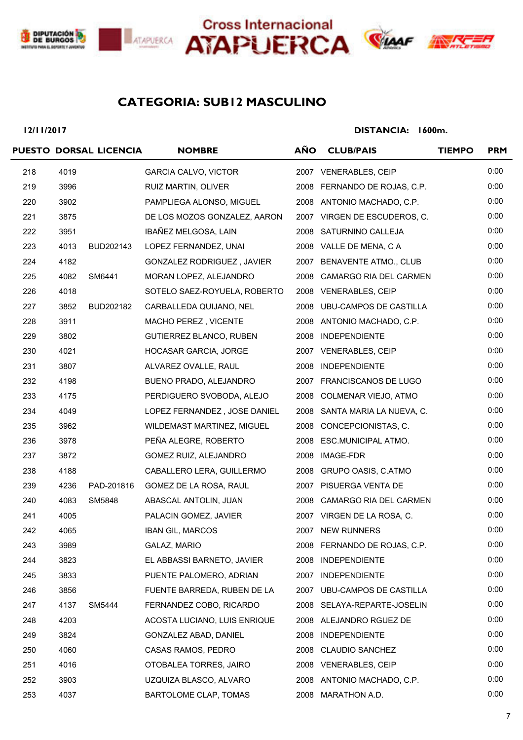





# **SUB12 MASCULINO CATEGORIA:**

**12/11/2017**

|     |      | PUESTO DORSAL LICENCIA | <b>NOMBRE</b>                | <b>AÑO</b> | <b>CLUB/PAIS</b>              | <b>TIEMPO</b> | <b>PRM</b> |
|-----|------|------------------------|------------------------------|------------|-------------------------------|---------------|------------|
| 218 | 4019 |                        | <b>GARCIA CALVO, VICTOR</b>  |            | 2007 VENERABLES, CEIP         |               | 0:00       |
| 219 | 3996 |                        | RUIZ MARTIN, OLIVER          |            | 2008 FERNANDO DE ROJAS, C.P.  |               | 0:00       |
| 220 | 3902 |                        | PAMPLIEGA ALONSO, MIGUEL     |            | 2008 ANTONIO MACHADO, C.P.    |               | 0:00       |
| 221 | 3875 |                        | DE LOS MOZOS GONZALEZ, AARON |            | 2007 VIRGEN DE ESCUDEROS, C.  |               | 0:00       |
| 222 | 3951 |                        | IBAÑEZ MELGOSA, LAIN         |            | 2008 SATURNINO CALLEJA        |               | 0:00       |
| 223 | 4013 | BUD202143              | LOPEZ FERNANDEZ, UNAI        |            | 2008 VALLE DE MENA, C A       |               | 0:00       |
| 224 | 4182 |                        | GONZALEZ RODRIGUEZ, JAVIER   |            | 2007 BENAVENTE ATMO., CLUB    |               | 0:00       |
| 225 | 4082 | SM6441                 | MORAN LOPEZ, ALEJANDRO       |            | 2008 CAMARGO RIA DEL CARMEN   |               | 0:00       |
| 226 | 4018 |                        | SOTELO SAEZ-ROYUELA, ROBERTO |            | 2008 VENERABLES, CEIP         |               | 0:00       |
| 227 | 3852 | BUD202182              | CARBALLEDA QUIJANO, NEL      |            | 2008 UBU-CAMPOS DE CASTILLA   |               | 0:00       |
| 228 | 3911 |                        | MACHO PEREZ, VICENTE         |            | 2008 ANTONIO MACHADO, C.P.    |               | 0:00       |
| 229 | 3802 |                        | GUTIERREZ BLANCO, RUBEN      |            | 2008 INDEPENDIENTE            |               | 0:00       |
| 230 | 4021 |                        | HOCASAR GARCIA, JORGE        |            | 2007 VENERABLES, CEIP         |               | 0:00       |
| 231 | 3807 |                        | ALVAREZ OVALLE, RAUL         |            | 2008 INDEPENDIENTE            |               | 0:00       |
| 232 | 4198 |                        | BUENO PRADO, ALEJANDRO       |            | 2007 FRANCISCANOS DE LUGO     |               | 0:00       |
| 233 | 4175 |                        | PERDIGUERO SVOBODA, ALEJO    | 2008       | COLMENAR VIEJO, ATMO          |               | 0:00       |
| 234 | 4049 |                        | LOPEZ FERNANDEZ, JOSE DANIEL |            | 2008 SANTA MARIA LA NUEVA, C. |               | 0:00       |
| 235 | 3962 |                        | WILDEMAST MARTINEZ, MIGUEL   |            | 2008 CONCEPCIONISTAS, C.      |               | 0:00       |
| 236 | 3978 |                        | PEÑA ALEGRE, ROBERTO         |            | 2008 ESC.MUNICIPAL ATMO.      |               | 0:00       |
| 237 | 3872 |                        | GOMEZ RUIZ, ALEJANDRO        |            | 2008 IMAGE-FDR                |               | 0:00       |
| 238 | 4188 |                        | CABALLERO LERA, GUILLERMO    |            | 2008 GRUPO OASIS, C.ATMO      |               | 0:00       |
| 239 | 4236 | PAD-201816             | GOMEZ DE LA ROSA, RAUL       |            | 2007 PISUERGA VENTA DE        |               | 0:00       |
| 240 | 4083 | SM5848                 | ABASCAL ANTOLIN, JUAN        |            | 2008 CAMARGO RIA DEL CARMEN   |               | 0:00       |
| 241 | 4005 |                        | PALACIN GOMEZ, JAVIER        |            | 2007 VIRGEN DE LA ROSA, C.    |               | 0:00       |
| 242 | 4065 |                        | <b>IBAN GIL, MARCOS</b>      |            | 2007 NEW RUNNERS              |               | 0:00       |
| 243 | 3989 |                        | GALAZ, MARIO                 |            | 2008 FERNANDO DE ROJAS, C.P.  |               | 0:00       |
| 244 | 3823 |                        | EL ABBASSI BARNETO, JAVIER   | 2008       | <b>INDEPENDIENTE</b>          |               | 0:00       |
| 245 | 3833 |                        | PUENTE PALOMERO, ADRIAN      | 2007       | <b>INDEPENDIENTE</b>          |               | 0:00       |
| 246 | 3856 |                        | FUENTE BARREDA, RUBEN DE LA  | 2007       | UBU-CAMPOS DE CASTILLA        |               | 0:00       |
| 247 | 4137 | SM5444                 | FERNANDEZ COBO, RICARDO      |            | 2008 SELAYA-REPARTE-JOSELIN   |               | 0:00       |
| 248 | 4203 |                        | ACOSTA LUCIANO, LUIS ENRIQUE | 2008       | ALEJANDRO RGUEZ DE            |               | 0:00       |
| 249 | 3824 |                        | GONZALEZ ABAD, DANIEL        | 2008       | <b>INDEPENDIENTE</b>          |               | 0:00       |
| 250 | 4060 |                        | CASAS RAMOS, PEDRO           | 2008       | <b>CLAUDIO SANCHEZ</b>        |               | 0:00       |
| 251 | 4016 |                        | OTOBALEA TORRES, JAIRO       | 2008       | <b>VENERABLES, CEIP</b>       |               | 0:00       |
| 252 | 3903 |                        | UZQUIZA BLASCO, ALVARO       | 2008       | ANTONIO MACHADO, C.P.         |               | 0:00       |
| 253 | 4037 |                        | BARTOLOME CLAP, TOMAS        | 2008       | MARATHON A.D.                 |               | 0:00       |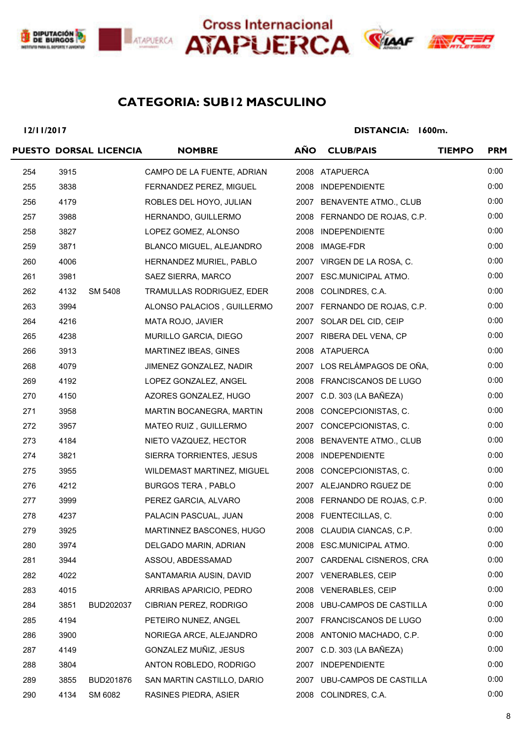





# **ANX**

# **SUB12 MASCULINO CATEGORIA:**

**12/11/2017**

|     |      | PUESTO DORSAL LICENCIA | <b>NOMBRE</b>              | <b>AÑO</b> | <b>CLUB/PAIS</b>              | <b>TIEMPO</b> | <b>PRM</b> |
|-----|------|------------------------|----------------------------|------------|-------------------------------|---------------|------------|
| 254 | 3915 |                        | CAMPO DE LA FUENTE, ADRIAN |            | 2008 ATAPUERCA                |               | 0:00       |
| 255 | 3838 |                        | FERNANDEZ PEREZ, MIGUEL    |            | 2008 INDEPENDIENTE            |               | 0:00       |
| 256 | 4179 |                        | ROBLES DEL HOYO, JULIAN    |            | 2007 BENAVENTE ATMO., CLUB    |               | 0:00       |
| 257 | 3988 |                        | HERNANDO, GUILLERMO        |            | 2008 FERNANDO DE ROJAS, C.P.  |               | 0:00       |
| 258 | 3827 |                        | LOPEZ GOMEZ, ALONSO        |            | 2008 INDEPENDIENTE            |               | 0:00       |
| 259 | 3871 |                        | BLANCO MIGUEL, ALEJANDRO   |            | 2008 IMAGE-FDR                |               | 0:00       |
| 260 | 4006 |                        | HERNANDEZ MURIEL, PABLO    |            | 2007 VIRGEN DE LA ROSA, C.    |               | 0:00       |
| 261 | 3981 |                        | SAEZ SIERRA, MARCO         |            | 2007 ESC.MUNICIPAL ATMO.      |               | 0:00       |
| 262 | 4132 | SM 5408                | TRAMULLAS RODRIGUEZ, EDER  |            | 2008 COLINDRES, C.A.          |               | 0:00       |
| 263 | 3994 |                        | ALONSO PALACIOS, GUILLERMO |            | 2007 FERNANDO DE ROJAS, C.P.  |               | 0:00       |
| 264 | 4216 |                        | MATA ROJO, JAVIER          |            | 2007 SOLAR DEL CID, CEIP      |               | 0:00       |
| 265 | 4238 |                        | MURILLO GARCIA, DIEGO      |            | 2007 RIBERA DEL VENA, CP      |               | 0:00       |
| 266 | 3913 |                        | MARTINEZ IBEAS, GINES      |            | 2008 ATAPUERCA                |               | 0:00       |
| 268 | 4079 |                        | JIMENEZ GONZALEZ, NADIR    |            | 2007 LOS RELÁMPAGOS DE OÑA,   |               | 0:00       |
| 269 | 4192 |                        | LOPEZ GONZALEZ, ANGEL      |            | 2008 FRANCISCANOS DE LUGO     |               | 0:00       |
| 270 | 4150 |                        | AZORES GONZALEZ, HUGO      |            | 2007 C.D. 303 (LA BAÑEZA)     |               | 0:00       |
| 271 | 3958 |                        | MARTIN BOCANEGRA, MARTIN   |            | 2008 CONCEPCIONISTAS, C.      |               | 0:00       |
| 272 | 3957 |                        | MATEO RUIZ, GUILLERMO      |            | 2007 CONCEPCIONISTAS, C.      |               | 0:00       |
| 273 | 4184 |                        | NIETO VAZQUEZ, HECTOR      |            | 2008 BENAVENTE ATMO., CLUB    |               | 0:00       |
| 274 | 3821 |                        | SIERRA TORRIENTES, JESUS   |            | 2008 INDEPENDIENTE            |               | 0:00       |
| 275 | 3955 |                        | WILDEMAST MARTINEZ, MIGUEL |            | 2008 CONCEPCIONISTAS, C.      |               | 0:00       |
| 276 | 4212 |                        | <b>BURGOS TERA, PABLO</b>  |            | 2007 ALEJANDRO RGUEZ DE       |               | 0:00       |
| 277 | 3999 |                        | PEREZ GARCIA, ALVARO       |            | 2008 FERNANDO DE ROJAS, C.P.  |               | 0:00       |
| 278 | 4237 |                        | PALACIN PASCUAL, JUAN      |            | 2008 FUENTECILLAS, C.         |               | 0:00       |
| 279 | 3925 |                        | MARTINNEZ BASCONES, HUGO   |            | 2008 CLAUDIA CIANCAS, C.P.    |               | 0:00       |
| 280 | 3974 |                        | DELGADO MARIN, ADRIAN      |            | 2008 ESC.MUNICIPAL ATMO.      |               | 0:00       |
| 281 | 3944 |                        | ASSOU, ABDESSAMAD          |            | 2007 CARDENAL CISNEROS, CRA   |               | 0:00       |
| 282 | 4022 |                        | SANTAMARIA AUSIN, DAVID    |            | 2007 VENERABLES, CEIP         |               | 0:00       |
| 283 | 4015 |                        | ARRIBAS APARICIO, PEDRO    | 2008       | <b>VENERABLES, CEIP</b>       |               | 0:00       |
| 284 | 3851 | BUD202037              | CIBRIAN PEREZ, RODRIGO     |            | 2008 UBU-CAMPOS DE CASTILLA   |               | 0:00       |
| 285 | 4194 |                        | PETEIRO NUNEZ, ANGEL       |            | 2007 FRANCISCANOS DE LUGO     |               | 0:00       |
| 286 | 3900 |                        | NORIEGA ARCE, ALEJANDRO    |            | 2008 ANTONIO MACHADO, C.P.    |               | 0:00       |
| 287 | 4149 |                        | GONZALEZ MUÑIZ, JESUS      |            | 2007 C.D. 303 (LA BAÑEZA)     |               | 0:00       |
| 288 | 3804 |                        | ANTON ROBLEDO, RODRIGO     | 2007       | <b>INDEPENDIENTE</b>          |               | 0:00       |
| 289 | 3855 | BUD201876              | SAN MARTIN CASTILLO, DARIO | 2007       | <b>UBU-CAMPOS DE CASTILLA</b> |               | 0:00       |
| 290 | 4134 | SM 6082                | RASINES PIEDRA, ASIER      |            | 2008 COLINDRES, C.A.          |               | 0:00       |